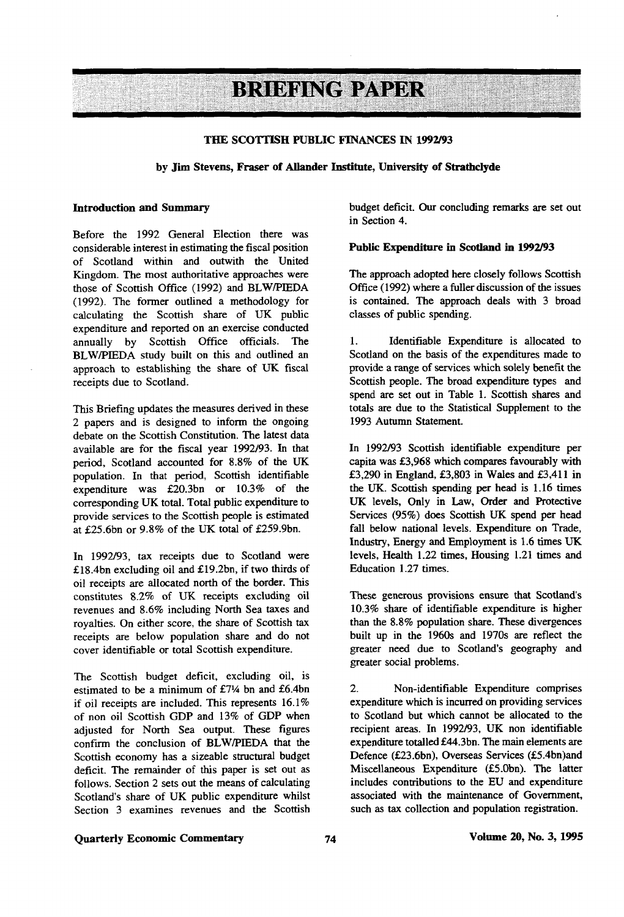# **BRIEFING PAPER**

### **THE SCOTTISH PUBLIC FINANCES IN 1992/93**

### **by Jim Stevens, Fraser of Allander Institute, University of Strathclyde**

Before the 1992 General Election there was considerable interest in estimating the fiscal position of Scotland within and outwith the United Kingdom. The most authoritative approaches were those of Scottish Office (1992) and BLW/PIEDA (1992). The former outlined a methodology for calculating the Scottish share of UK public expenditure and reported on an exercise conducted annually by Scottish Office officials. The BLW/PIEDA study built on this and outlined an approach to establishing the share of UK fiscal receipts due to Scotland.

This Briefing updates the measures derived in these 2 papers and is designed to inform the ongoing debate on the Scottish Constitution. The latest data available are for the fiscal year 1992/93. In that period, Scotland accounted for 8.8% of the UK population. In that period, Scottish identifiable expenditure was £20.3bn or 10.3% of the corresponding UK total. Total public expenditure to provide services to the Scottish people is estimated at £25.6bn or  $9.8\%$  of the UK total of £259.9bn.

In 1992/93, tax receipts due to Scotland were £18.4bn excluding oil and £19.2bn, if two thirds of oil receipts are allocated north of the border. This constitutes 8.2% of UK receipts excluding oil revenues and 8.6% including North Sea taxes and royalties. On either score, the share of Scottish tax receipts are below population share and do not cover identifiable or total Scottish expenditure.

The Scottish budget deficit, excluding oil, is estimated to be a minimum of £71/4 bn and £6.4bn if oil receipts are included. This represents 16.1% of non oil Scottish GDP and 13% of GDP when adjusted for North Sea output. These figures confirm the conclusion of BLW/PIEDA that the Scottish economy has a sizeable structural budget deficit. The remainder of this paper is set out as follows. Section 2 sets out the means of calculating Scotland's share of UK public expenditure whilst Section 3 examines revenues and the Scottish

**Introduction and Summary** budget deficit. Our concluding remarks are set out in Section 4.

#### **Public Expenditure in Scotland in 1992/93**

The approach adopted here closely follows Scottish Office (1992) where a fuller discussion of the issues is contained. The approach deals with 3 broad classes of public spending.

1. Identifiable Expenditure is allocated to Scotland on the basis of the expenditures made to provide a range of services which solely benefit the Scottish people. The broad expenditure types and spend are set out in Table 1. Scottish shares and totals are due to the Statistical Supplement to the 1993 Autumn Statement.

In 1992/93 Scottish identifiable expenditure per capita was £3,968 which compares favourably with £3,290 in England, £3,803 in Wales and £3,411 in the UK. Scottish spending per head is 1.16 times UK levels, Only in Law, Order and Protective Services (95%) does Scottish UK spend per head fall below national levels. Expenditure on Trade, Industry, Energy and Employment is 1.6 times UK levels, Health 1.22 times, Housing 1.21 times and Education 1.27 times.

These generous provisions ensure that Scodand's 10.3% share of identifiable expenditure is higher than the 8.8% population share. These divergences built up in the 1960s and 1970s are reflect the greater need due to Scotland's geography and greater social problems.

2. Non-identifiable Expenditure comprises expenditure which is incurred on providing services to Scotland but which cannot be allocated to the recipient areas. In 1992/93, UK non identifiable expenditure totalled £44.3bn. The main elements are Defence (£23.6bn), Overseas Services (£5.4bn)and Miscellaneous Expenditure (£5.0bn). The latter includes contributions to the EU and expenditure associated with the maintenance of Government, such as tax collection and population registration.

# **Quarterly Economic Commentary 74 Volume 20, No. 3,1995**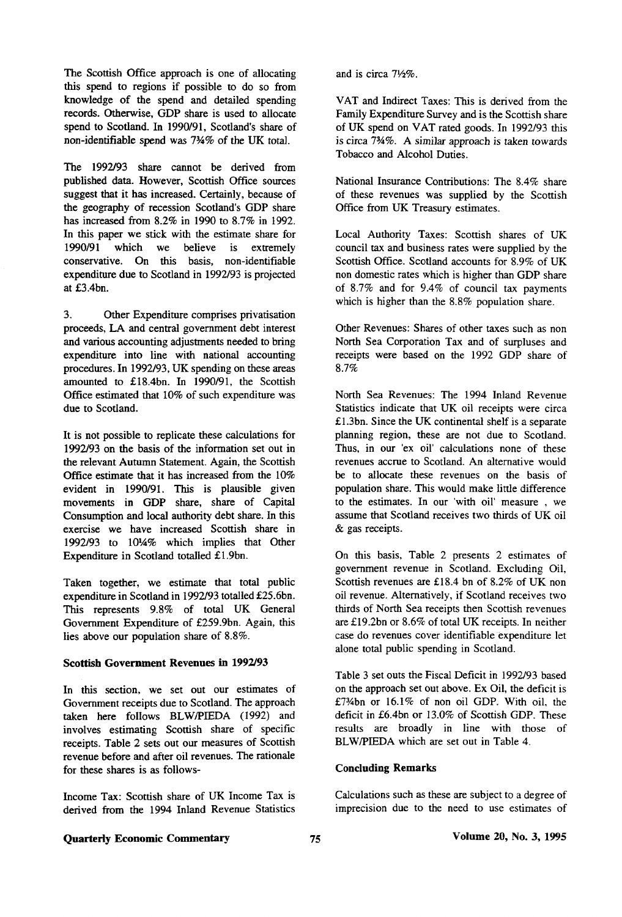The Scottish Office approach is one of allocating this spend to regions if possible to do so from knowledge of the spend and detailed spending records. Otherwise, GDP share is used to allocate spend to Scotland. In 1990/91, Scotland's share of non-identifiable spend was 7%% of the UK total.

The 1992/93 share cannot be derived from published data. However, Scottish Office sources suggest that it has increased. Certainly, because of the geography of recession Scotland's GDP share has increased from 8.2% in 1990 to 8.7% in 1992. In this paper we stick with the estimate share for 1990/91 which we believe is extremely conservative. On this basis, non-identifiable expenditure due to Scotland in 1992/93 is projected at £3.4bn.

3. Other Expenditure comprises privatisation proceeds, LA and central government debt interest and various accounting adjustments needed to bring expenditure into line with national accounting procedures. In 1992/93, UK spending on these areas amounted to £18.4bn. In 1990/91, the Scottish Office estimated that 10% of such expenditure was due to Scotland.

It is not possible to replicate these calculations for 1992/93 on the basis of the information set out in the relevant Autumn Statement. Again, the Scottish Office estimate that it has increased from the 10% evident in 1990/91. This is plausible given movements in GDP share, share of Capital Consumption and local authority debt share. In this exercise we have increased Scottish share in 1992/93 to 1014% which implies that Other Expenditure in Scotland totalled £1.9bn.

Taken together, we estimate that total public expenditure in Scotland in 1992/93 totalled £25.6bn. This represents 9.8% of total UK General Government Expenditure of £259.9bn. Again, this lies above our population share of 8.8%.

#### **Scottish Government Revenues in 1992/93**

In this section, we set out our estimates of Government receipts due to Scotland. The approach taken here follows BLW/PIEDA (1992) and involves estimating Scottish share of specific receipts. Table 2 sets out our measures of Scottish revenue before and after oil revenues. The rationale for these shares is as follows-

Income Tax: Scottish share of UK Income Tax is derived from the 1994 Inland Revenue Statistics and is circa  $7\frac{1}{2}\%$ .

VAT and Indirect Taxes: This is derived from the Family Expenditure Survey and is the Scottish share of UK spend on VAT rated goods. In 1992/93 this is circa 7%%. A similar approach is taken towards Tobacco and Alcohol Duties.

National Insurance Contributions: The 8.4% share of these revenues was supplied by the Scottish Office from UK Treasury estimates.

Local Authority Taxes: Scottish shares of UK council tax and business rates were supplied by the Scottish Office. Scotland accounts for 8.9% of UK non domestic rates which is higher than GDP share of 8.7% and for 9.4% of council tax payments which is higher than the 8.8% population share.

Other Revenues: Shares of other taxes such as non North Sea Corporation Tax and of surpluses and receipts were based on the 1992 GDP share of 8.7%

North Sea Revenues: The 1994 Inland Revenue Statistics indicate that UK oil receipts were circa £1.3bn. Since the UK continental shelf is a separate planning region, these are not due to Scotland. Thus, in our 'ex oil' calculations none of these revenues accrue to Scotland. An alternative would be to allocate these revenues on the basis of population share. This would make little difference to the estimates. In our 'with oil' measure , we assume that Scotland receives two thirds of UK oil & gas receipts.

On this basis, Table 2 presents 2 estimates of government revenue in Scotland. Excluding Oil, Scottish revenues are £18.4 bn of 8.2% of UK non oil revenue. Alternatively, if Scotland receives two thirds of North Sea receipts then Scottish revenues are £19.2bn or 8.6% of total UK receipts. In neither case do revenues cover identifiable expenditure let alone total public spending in Scotland.

Table 3 set outs the Fiscal Deficit in 1992/93 based on the approach set out above. Ex Oil, the deficit is £7%bn or 16.1% of non oil GDP. With oil, the deficit in £6.4bn or 13.0% of Scottish GDP. These results are broadly in line with those of BLW/PIEDA which are set out in Table 4.

### **Concluding Remarks**

Calculations such as these are subject to a degree of imprecision due to the need to use estimates of

# **Quarterly Economic Commentary 25** 75 Volume 20, No. 3, 1995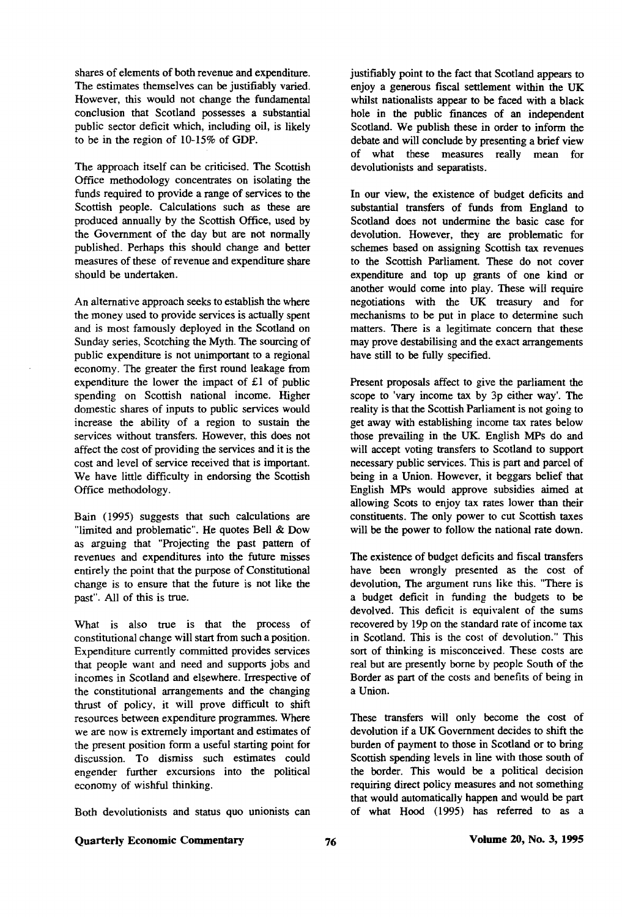shares of elements of both revenue and expenditure. The estimates themselves can be justifiably varied. However, this would not change the fundamental conclusion that Scotland possesses a substantial public sector deficit which, including oil, is likely to be in the region of 10-15% of GDP.

The approach itself can be criticised. The Scottish Office methodology concentrates on isolating the funds required to provide a range of services to die Scottish people. Calculations such as these are produced annually by the Scottish Office, used by the Government of the day but are not normally published. Perhaps this should change and better measures of these of revenue and expenditure share should be undertaken.

An alternative approach seeks to establish the where the money used to provide services is actually spent and is most famously deployed in the Scotland on Sunday series, Scotching the Myth. The sourcing of public expenditure is not unimportant to a regional economy. The greater the first round leakage from expenditure the lower the impact of £1 of public spending on Scottish national income. Higher domestic shares of inputs to public services would increase the ability of a region to sustain the services without transfers. However, this does not affect the cost of providing the services and it is the cost and level of service received that is important. We have little difficulty in endorsing the Scottish Office methodology.

Bain (1995) suggests that such calculations are "limited and problematic". He quotes Bell & Dow as arguing that "Projecting the past pattern of revenues and expenditures into the future misses entirely the point that the purpose of Constitutional change is to ensure that the future is not like the past". All of this is true.

What is also true is that the process of constitutional change will start from such a position. Expenditure currently committed provides services that people want and need and supports jobs and incomes in Scotland and elsewhere. Irrespective of the constitutional arrangements and the changing thrust of policy, it will prove difficult to shift resources between expenditure programmes. Where we are now is extremely important and estimates of the present position form a useful starting point for discussion. To dismiss such estimates could engender further excursions into the political economy of wishful thinking.

Both devolutionists and status quo unionists can

justifiably point to the fact that Scotland appears to enjoy a generous fiscal settlement within the UK whilst nationalists appear to be faced with a black hole in the public finances of an independent Scotland. We publish these in order to inform the debate and will conclude by presenting a brief view of what these measures really mean for devolutionists and separatists.

In our view, the existence of budget deficits and substantial transfers of funds from England to Scodand does not undermine the basic case for devolution. However, they are problematic for schemes based on assigning Scottish tax revenues to the Scottish Parliament. These do not cover expenditure and top up grants of one kind or another would come into play. These will require negotiations with the UK treasury and for mechanisms to be put in place to determine such matters. There is a legitimate concern that these may prove destabilising and the exact arrangements have still to be fully specified.

Present proposals affect to give the parliament the scope to 'vary income tax by 3p either way'. The reality is that the Scottish Parliament is not going to get away with establishing income tax rates below those prevailing in the UK. English MPs do and will accept voting transfers to Scotland to support necessary public services. This is part and parcel of being in a Union. However, it beggars belief that English MPs would approve subsidies aimed at allowing Scots to enjoy tax rates lower than their constituents. The only power to cut Scottish taxes will be the power to follow the national rate down.

The existence of budget deficits and fiscal transfers have been wrongly presented as the cost of devolution, The argument runs like this. "There is a budget deficit in funding the budgets to be devolved. This deficit is equivalent of the sums recovered by 19p on the standard rate of income tax in Scodand. This is the cost of devolution." This sort of thinking is misconceived. These costs are real but are presently borne by people South of the Border as part of the costs and benefits of being in a Union.

These transfers will only become the cost of devolution if a UK Government decides to shift the burden of payment to those in Scotland or to bring Scottish spending levels in line with those south of the border. This would be a political decision requiring direct policy measures and not something that would automatically happen and would be part of what Hood (1995) has referred to as a

## Quarterly Economic Commentary **20, No. 3, 1995 Volume 20, No. 3, 1995**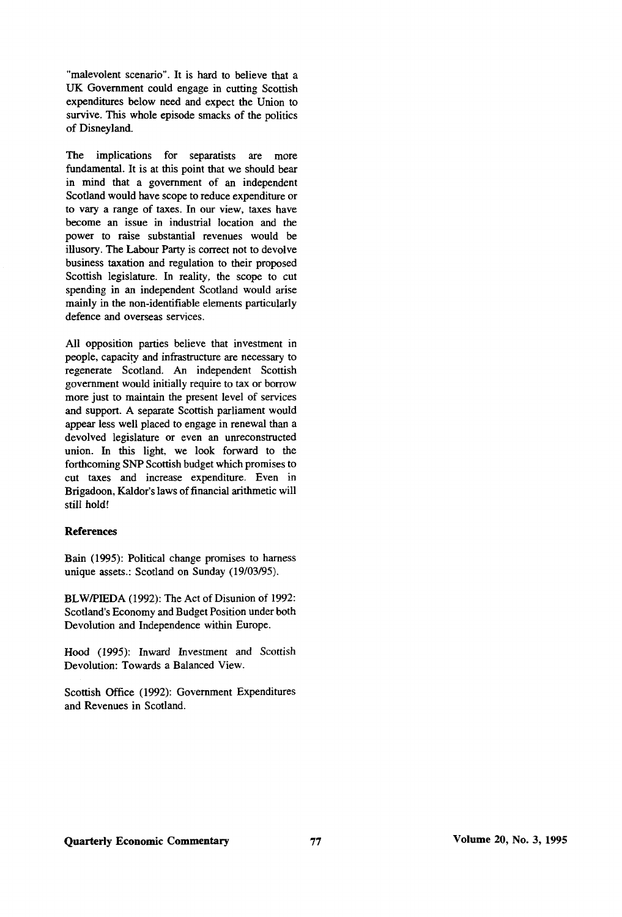"malevolent scenario". It is hard to believe that a UK Government could engage in cutting Scottish expenditures below need and expect die Union to survive. This whole episode smacks of the politics of Disneyland.

The implications for separatists are more fundamental. It is at this point that we should bear in mind that a government of an independent Scodand would have scope to reduce expenditure or to vary a range of taxes. In our view, taxes have become an issue in industrial location and the power to raise substantial revenues would be illusory. The Labour Party is correct not to devolve business taxation and regulation to their proposed Scottish legislature. In reality, the scope to cut spending in an independent Scodand would arise mainly in the non-identifiable elements particularly defence and overseas services.

All opposition parties believe that investment in people, capacity and infrastructure are necessary to regenerate Scodand. An independent Scottish government would initially require to tax or borrow more just to maintain the present level of services and support. A separate Scottish parliament would appear less well placed to engage in renewal than a devolved legislature or even an unreconstructed union. In this light, we look forward to the forthcoming SNP Scottish budget which promises to cut taxes and increase expenditure. Even in Brigadoon, Kaldor's laws of financial arithmetic will still hold!

#### **References**

Bain (1995): Political change promises to harness unique assets.: Scotland on Sunday (19/03/95).

BLW/PIEDA (1992): The Act of Disunion of 1992: Scodand's Economy and Budget Position under both Devolution and Independence within Europe.

Hood (1995): Inward Investment and Scottish Devolution: Towards a Balanced View.

Scottish Office (1992): Government Expenditures and Revenues in Scotland.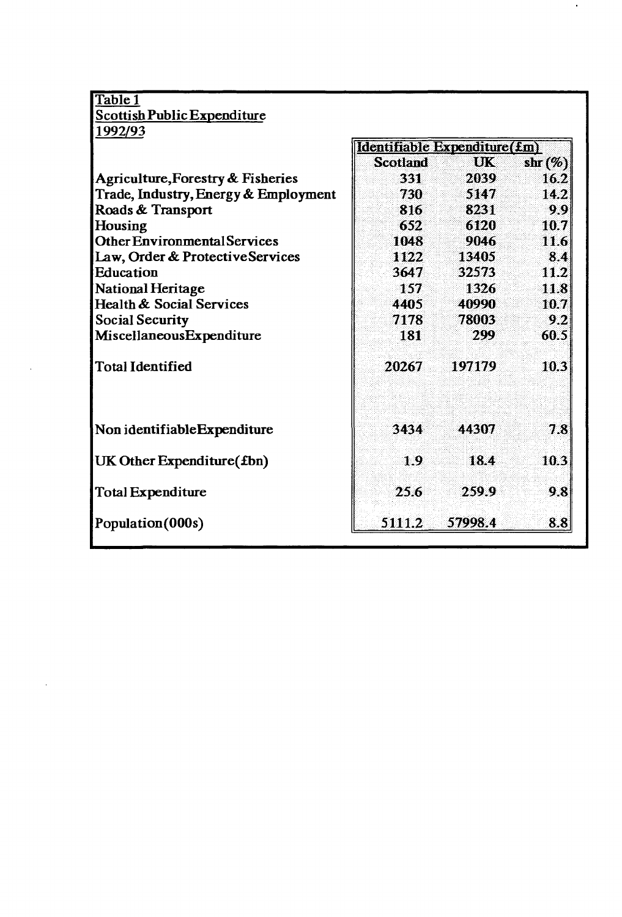| Table 1                              |                              |         |            |  |
|--------------------------------------|------------------------------|---------|------------|--|
| <b>Scottish Public Expenditure</b>   |                              |         |            |  |
| 1992/93                              |                              |         |            |  |
|                                      | Identifiable Expenditure(£m) |         |            |  |
|                                      | <b>Scotland</b>              | UK      | shr $(\%)$ |  |
| Agriculture, Forestry & Fisheries    | 331                          | 2039    | 16.2       |  |
| Trade, Industry, Energy & Employment | 730                          | 5147    | 14.2       |  |
| Roads & Transport                    | 816                          | 8231    | 99         |  |
| Housing                              | 652                          | 6120    | 10.7       |  |
| <b>Other Environmental Services</b>  | 1048                         | 9046    | 11.6       |  |
| Law, Order & Protective Services     | 1122                         | 13405.  | 8.4        |  |
| Education                            | 3647                         | 32573   | 11.2       |  |
| National Heritage                    | 157                          | 1326    | 11.8       |  |
| Health & Social Services             | 4405                         | 40990   | 10.7       |  |
| <b>Social Security</b>               | 7178                         | 78003   | 9.2        |  |
| MiscellaneousExpenditure             | 181                          | 299     | 60.5       |  |
| <b>Total Identified</b>              | 20267                        | 197179  | 10.3       |  |
| Non identifiable Expenditure         | 3434                         | 44307   | 7.8        |  |
| UK Other Expenditure (fbn)           | 1.9                          | 18.4    | 10.3       |  |
| Total Expenditure                    | 25.6                         | 259.9   | 9.8        |  |
| Population (000s)                    | 5111.2                       | 57998.4 | 8.8        |  |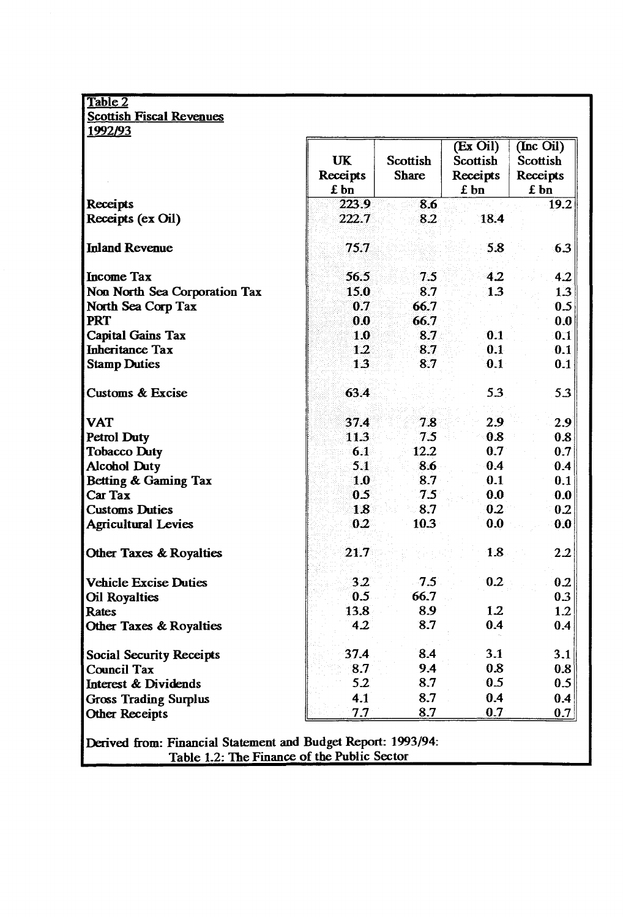| Table 2                            |                        |                          |                                          |                                           |  |  |
|------------------------------------|------------------------|--------------------------|------------------------------------------|-------------------------------------------|--|--|
| <b>Scottish Fiscal Revenues</b>    |                        |                          |                                          |                                           |  |  |
| 1992/93                            |                        |                          |                                          |                                           |  |  |
|                                    | UK<br>Receipts<br>£ bn | Scottish<br><b>Share</b> | (Ex Oil)<br>Scottish<br>Receipts<br>£ bn | (Inc Oil)<br>Scottish<br>Receipts<br>£ bn |  |  |
| Receipts                           | 223.9                  | 8.6                      |                                          | 19.2                                      |  |  |
| Receipts (ex Oil)                  | 222.7                  | 8.2                      | 18.4                                     |                                           |  |  |
| <b>Inland Revenue</b>              | 75.7                   |                          | 5.8                                      | 6.3                                       |  |  |
| <b>Income Tax</b>                  | 56.5                   | 7.5                      | 4.2                                      | 4.2                                       |  |  |
| Non North Sea Corporation Tax      | 15.0                   | 8.7                      | 1.3                                      | 1.3                                       |  |  |
| North Sea Corp Tax                 | 0.7                    | 66.7                     |                                          | 0.5                                       |  |  |
| <b>PRT</b>                         | 0.0                    | 66.7                     |                                          | 0.0                                       |  |  |
| <b>Capital Gains Tax</b>           | 1.0                    | 8.7                      | 0.1                                      | 0.1                                       |  |  |
| <b>Inheritance Tax</b>             | 1.2                    | 8.7                      | 0.1                                      | 0.1                                       |  |  |
| <b>Stamp Duties</b>                | 13                     | 8.7                      | 0.1                                      | 0.1                                       |  |  |
| <b>Customs &amp; Excise</b>        | 63.4                   |                          | 5.3                                      | 5.3                                       |  |  |
| <b>VAT</b>                         | 37.4                   | 7.8                      | 2.9                                      | 2.9                                       |  |  |
| <b>Petrol Duty</b>                 | 11.3                   | 7.5                      | 0.8                                      | 0.8                                       |  |  |
| <b>Tobacco Duty</b>                | 6.1                    | 12.2                     | 0.7                                      | 0.7                                       |  |  |
| <b>Alcohol Duty</b>                | 5.1                    | 8.6                      | 0.4                                      | 0.4                                       |  |  |
| Betting & Gaming Tax               | 1.0                    | 8.7                      | 0.1                                      | 0.1                                       |  |  |
| Car Tax                            | 0.5                    | 7.5                      | 0.0                                      | 0.0                                       |  |  |
| <b>Customs Duties</b>              | 1.8                    | 8.7                      | 0.2                                      | 0.2                                       |  |  |
| <b>Agricultural Levies</b>         | 0.2                    | 10.3                     | 0.0                                      | 0.0                                       |  |  |
| <b>Other Taxes &amp; Royalties</b> | 21.7                   |                          | 1.8                                      | 2.2                                       |  |  |
| <b>Vehicle Excise Duties</b>       | 3.2                    | $7.5^\circ$              | 0.2                                      | 0.2                                       |  |  |
| <b>Oil Royalties</b>               | 0.5                    | 66.7                     |                                          | 0.3                                       |  |  |
| Rates                              | 13.8                   | 8.9                      | 1.2                                      | 1.2                                       |  |  |
| <b>Other Taxes &amp; Royalties</b> | 4.2                    | 8.7                      | 0.4                                      | 0.4                                       |  |  |
| <b>Social Security Receipts</b>    | 37.4                   | 8.4                      | 3.1                                      | 3.1                                       |  |  |
| Council Tax                        | 8.7                    | 9.4                      | 0.8                                      | 0.8                                       |  |  |
| Interest & Dividends               | 5.2                    | 8.7                      | 0.5                                      | 0.5                                       |  |  |
| <b>Gross Trading Surplus</b>       | 4.1                    | 8.7                      | 0.4                                      | 0.4                                       |  |  |
| <b>Other Receipts</b>              | 7.7                    | 8.7                      | 0.7                                      | 0.7                                       |  |  |

**Derived from: Financial Statement and E Table 1.2: The Finance of budget Report f the Public rt: 1993/94: Sector**